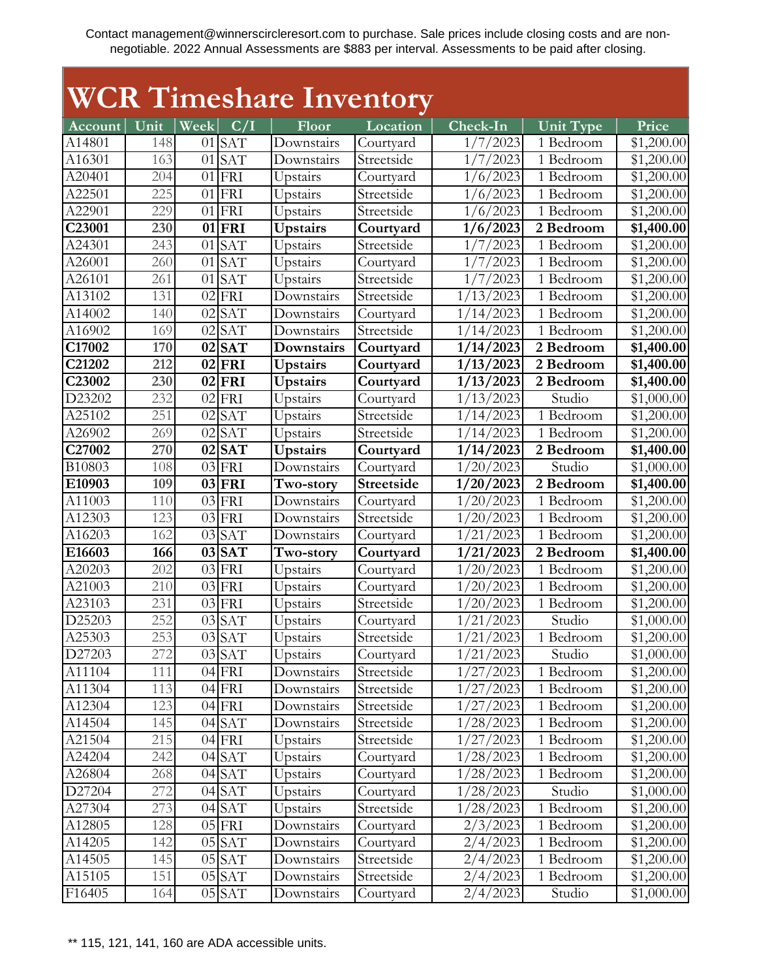## **WCR Timeshare Inventory**

| Account              | Unit | Week $C/I$ |            | Floor           | Location          | $Check-In$    | Unit Type              | Price      |
|----------------------|------|------------|------------|-----------------|-------------------|---------------|------------------------|------------|
| A14801               | 148  |            | $01$ SAT   | Downstairs      | Courtyard         | 1/7/2023      | 1 Bedroom              | \$1,200.00 |
| A16301               | 163  |            | $01$ SAT   | Downstairs      | Streetside        | 1/7/2023      | 1 Bedroom              | \$1,200.00 |
| $\overline{A20}401$  | 204  |            | $01$ FRI   | Upstairs        | Courtyard         | 1/6/2023      | 1 Bedroom              | \$1,200.00 |
| A22501               | 225  |            | $01$ FRI   | Upstairs        | Streetside        | 1/6/2023      | $\overline{1}$ Bedroom | \$1,200.00 |
| A22901               | 229  | 01         | FRI        | Upstairs        | Streetside        | 1/6/2023      | 1 Bedroom              | \$1,200.00 |
| C23001               | 230  |            | $01$ FRI   | <b>Upstairs</b> | Courtyard         | 1/6/2023      | 2 Bedroom              | \$1,400.00 |
| A24301               | 243  | 01         | <b>SAT</b> | Upstairs        | Streetside        | 1/7/2023      | 1 Bedroom              | \$1,200.00 |
| A26001               | 260  |            | $01$ SAT   | Upstairs        | Courtyard         | 2023<br>1/7/  | 1 Bedroom              | \$1,200.00 |
| A26101               | 261  | 01         | <b>SAT</b> | Upstairs        | Streetside        | 1/7/2023      | 1 Bedroom              | \$1,200.00 |
| A13102               | 131  | 02         | FRI        | Downstairs      | Streetside        | 1/13/2023     | 1 Bedroom              | \$1,200.00 |
| A14002               | 140  | 02         | <b>SAT</b> | Downstairs      | Courtyard         | 1/14/2023     | 1 Bedroom              | \$1,200.00 |
| A16902               | 169  |            | $02$ SAT   | Downstairs      | Streetside        | 1/14/2023     | 1 Bedroom              | \$1,200.00 |
| C17002               | 170  |            | $02$ SAT   | Downstairs      | Courtyard         | 1/14/2023     | 2 Bedroom              | \$1,400.00 |
| C21202               | 212  |            | $02$ FRI   | <b>Upstairs</b> | Courtyard         | 1/13/2023     | 2 Bedroom              | \$1,400.00 |
| C23002               | 230  |            | $02$ FRI   | <b>Upstairs</b> | Courtyard         | 1/13/2023     | 2 Bedroom              | \$1,400.00 |
| D23202               | 232  |            | $02$ FRI   | Upstairs        | Courtyard         | 1/13/2023     | Studio                 | \$1,000.00 |
| A25102               | 251  | 02         | <b>SAT</b> | Upstairs        | Streetside        | 1/14/2023     | 1 Bedroom              | \$1,200.00 |
| A26902               | 269  | 02         | <b>SAT</b> | Upstairs        | Streetside        | 1/14/2023     | 1 Bedroom              | \$1,200.00 |
| C27002               | 270  |            | $02$ SAT   | <b>Upstairs</b> | Courtyard         | 1/14/2023     | 2 Bedroom              | \$1,400.00 |
| B10803               | 108  |            | $03$ FRI   | Downstairs      | Courtyard         | 1/20/2023     | Studio                 | \$1,000.00 |
| E10903               | 109  |            | $03$ FRI   | Two-story       | <b>Streetside</b> | 1/20/2023     | 2 Bedroom              | \$1,400.00 |
| A11003               | 110  |            | $03$ FRI   | Downstairs      | Courtyard         | 1/20/2023     | 1 Bedroom              | \$1,200.00 |
| $\overline{A}$ 12303 | 123  |            | $03$ FRI   | Downstairs      | Streetside        | 1/<br>20/2023 | 1 Bedroom              | \$1,200.00 |
| A16203               | 162  |            | $03$ SAT   | Downstairs      | Courtyard         | 1/21/2023     | $\overline{1}$ Bedroom | \$1,200.00 |
| E16603               | 166  |            | $03$ SAT   | Two-story       | Courtyard         | 1/21/2023     | 2 Bedroom              | \$1,400.00 |
| A20203               | 202  |            | $03$ FRI   | Upstairs        | Courtyard         | 1/20/2023     | 1 Bedroom              | \$1,200.00 |
| A21003               | 210  |            | $03$ FRI   | Upstairs        | Courtyard         | 1/20/2023     | 1 Bedroom              | \$1,200.00 |
| A23103               | 231  |            | $03$ FRI   | Upstairs        | Streetside        | 1/20/2023     | $\overline{1}$ Bedroom | \$1,200.00 |
| D25203               | 252  |            | $03$ SAT   | Upstairs        | Courtyard         | 1/21/2023     | Studio                 | \$1,000.00 |
| A25303               | 253  | 03         | SAT        | Upstairs        | Streetside        | 21/2023<br>1/ | 1 Bedroom              | \$1,200.00 |
| D27203               | 272  |            | $03$ SAT   | Upstairs        | Courtyard         | 1/21/2023     | Studio                 | \$1,000.00 |
| A11104               | 111  |            | $04$ FRI   | Downstairs      | Streetside        | 1/27/2023     | 1 Bedroom              | \$1,200.00 |
| A11304               | 113  |            | $04$ FRI   | Downstairs      | Streetside        | 1/27/2023     | 1 Bedroom              | \$1,200.00 |
| A12304               | 123  |            | $04$ FRI   | Downstairs      | Streetside        | 1/27/2023     | 1 Bedroom              | \$1,200.00 |
| A14504               | 145  |            | $04$ SAT   | Downstairs      | Streetside        | 1/28/2023     | 1 Bedroom              | \$1,200.00 |
| A21504               | 215  |            | $04$ FRI   | Upstairs        | Streetside        | 1/27/2023     | 1 Bedroom              | \$1,200.00 |
| A24204               | 242  |            | $04$ SAT   | Upstairs        | Courtyard         | 1/28/2023     | 1 Bedroom              | \$1,200.00 |
| A26804               | 268  |            | $04$ SAT   | Upstairs        | Courtyard         | 1/28/2023     | 1 Bedroom              | \$1,200.00 |
| D27204               | 272  |            | $04$ SAT   | Upstairs        | Courtyard         | 1/28/2023     | Studio                 | \$1,000.00 |
| A27304               | 273  |            | $04$ SAT   | Upstairs        | Streetside        | 1/28/2023     | 1 Bedroom              | \$1,200.00 |
| A12805               | 128  |            | $05$ FRI   | Downstairs      | Courtyard         | 2/3/2023      | 1 Bedroom              | \$1,200.00 |
| A14205               | 142  |            | $05$ SAT   | Downstairs      | Courtyard         | 2/4/2023      | 1 Bedroom              | \$1,200.00 |
| A14505               | 145  |            | $05$ SAT   | Downstairs      | Streetside        | 2/4/2023      | 1 Bedroom              | \$1,200.00 |
| A15105               | 151  |            | $05$ SAT   | Downstairs      | Streetside        | 2/4/2023      | 1 Bedroom              | \$1,200.00 |
| F16405               | 164  |            | $05$ $SAT$ | Downstairs      | Courtyard         | 2/4/2023      | Studio                 | \$1,000.00 |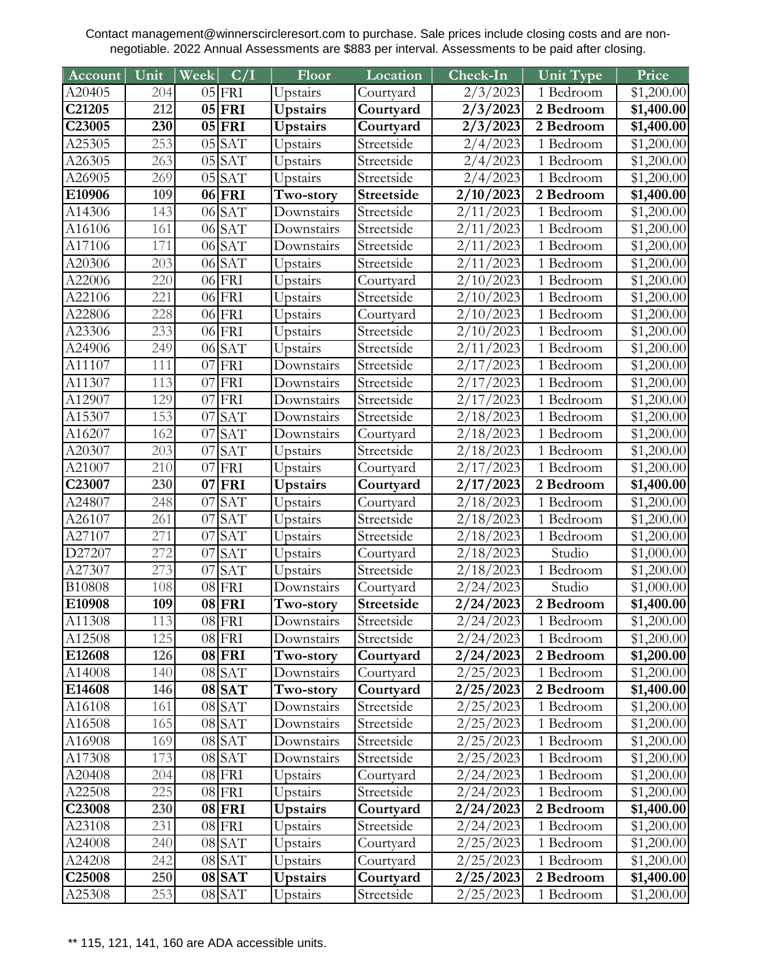| Account            | Unit             | Week | C/I                 | Floor            | Location   | $Check-In$         | Unit Type              | Price                  |
|--------------------|------------------|------|---------------------|------------------|------------|--------------------|------------------------|------------------------|
| A20405             | 204              |      | $05$ FRI            | Upstairs         | Courtyard  | 2/3/2023           | $\overline{1}$ Bedroom | \$1,200.00             |
| C21205             | 212              |      | $05$ FRI            | Upstairs         | Courtyard  | 2/3/2023           | 2 Bedroom              | \$1,400.00             |
| C23005             | 230              |      | $05$ FRI            | <b>Upstairs</b>  | Courtyard  | 2/3/2023           | 2 Bedroom              | \$1,400.00             |
| A25305             | 253              |      | $05$ SAT            | Upstairs         | Streetside | 2/4/2023           | 1 Bedroom              | \$1,200.00             |
| A26305             | $\overline{263}$ |      | $05$ SAT            | Upstairs         | Streetside | 2/4/2023           | 1 Bedroom              | $\overline{$1,200.00}$ |
| A26905             | 269              |      | $05$ SAT            | Upstairs         | Streetside | 2/4/2023           | 1 Bedroom              | \$1,200.00             |
| E10906             | 109              |      | 06 FRI              | Two-story        | Streetside | 2/10/2023          | 2 Bedroom              | \$1,400.00             |
| A14306             | 143              |      | $06$ SAT            | Downstairs       | Streetside | 2/11/2023          | $\overline{1}$ Bedroom | \$1,200.00             |
| A16106             | 161              |      | $06$ SAT            | Downstairs       | Streetside | 2/11/2023          | 1 Bedroom              | \$1,200.00             |
| A17106             | 171              |      | $06$ SAT            | Downstairs       | Streetside | 2/11/2023          | 1 Bedroom              | \$1,200.00             |
| A20306             | 203              |      | $06$ SAT            | Upstairs         | Streetside | 2/11/2023          | 1 Bedroom              | \$1,200.00             |
| A22006             | 220              |      | 06 FRI              | Upstairs         | Courtyard  | 2/10/2023          | 1 Bedroom              | \$1,200.00             |
| A22106             | 221              |      | $06$ FRI            | Upstairs         | Streetside | 2/10/2023          | 1 Bedroom              | \$1,200.00             |
| A22806             | 228              |      | $06$ FRI            | Upstairs         | Courtyard  | 2/10/2023          | 1 Bedroom              | \$1,200.00             |
| A23306             | 233              |      | $06$ FRI            | Upstairs         | Streetside | 2/10/2023          | 1 Bedroom              | \$1,200.00             |
| A24906             | 249              |      | $06$ SAT            | Upstairs         | Streetside | 2/11/2023          | 1 Bedroom              | \$1,200.00             |
| A11107             | 111              | 07   | FRI                 | Downstairs       | Streetside | 2/17/2023          | 1 Bedroom              | \$1,200.00             |
| A11307             | 113              | 07   | <b>FRI</b>          | Downstairs       | Streetside | 2/17/2023          | 1 Bedroom              | \$1,200.00             |
| A12907             | 129              | 07   | FRI                 | Downstairs       | Streetside | 2/17/2023          | 1 Bedroom              | \$1,200.00             |
| A15307             | 153              | 07   | <b>SAT</b>          | Downstairs       | Streetside | 2/18/2023          | 1 Bedroom              | \$1,200.00             |
| A16207             | 162              |      | $07$ SAT            | Downstairs       | Courtyard  | 2/18/2023          | 1 Bedroom              | \$1,200.00             |
| A20307             | 203              | 07   | <b>SAT</b>          | Upstairs         | Streetside | 2/18/2023          | 1 Bedroom              | \$1,200.00             |
| A21007             | 210              | 07   | FRI                 | Upstairs         | Courtyard  | 2/17/2023          | 1 Bedroom              | \$1,200.00             |
| C23007             | 230              | 07   | FRI                 | <b>Upstairs</b>  | Courtyard  | 2/17/2023          | 2 Bedroom              | \$1,400.00             |
| A24807             | 248              | 07   | <b>SAT</b>          | Upstairs         | Courtyard  | 2/18/2023          | 1 Bedroom              | \$1,200.00             |
| A26107             | 261              | 07   | <b>SAT</b>          | Upstairs         | Streetside | 2/18/2023          | 1 Bedroom              | \$1,200.00             |
| A27107             | 271              | 07   | <b>SAT</b>          | Upstairs         | Streetside | 2/18/2023          | 1 Bedroom              | \$1,200.00             |
| D27207             | 272              | 07   | <b>SAT</b>          | Upstairs         | Courtyard  | 2/18/2023          | Studio                 | \$1,000.00             |
| A27307             | 273              | 07   | SAT                 | Upstairs         | Streetside | $\sqrt{2}/18/2023$ | 1 Bedroom              | \$1,200.00             |
| B10808             | 108              |      | $08$ FRI            | Downstairs       | Courtyard  | 2/24/2023          | Studio                 | \$1,000.00             |
| E10908             | 109              |      | $\overline{08}$ FRI | <b>Two-story</b> | Streetside | 2/24/2023          | 2 Bedroom              | \$1,400.00             |
| A11308             | 113              |      | $08$ FRI            | Downstairs       | Streetside | 2/24/2023          | 1 Bedroom              | $\overline{$1,200.00}$ |
| A12508             | 125              |      | $08$ FRI            | Downstairs       | Streetside | 2/24/2023          | 1 Bedroom              | \$1,200.00             |
| E12608             | 126              |      | $08$ FRI            | Two-story        | Courtyard  | 2/24/2023          | 2 Bedroom              | \$1,200.00             |
| A14008             | 140              |      | $08$ SAT            | Downstairs       | Courtyard  | $\sqrt{2}/25/2023$ | 1 Bedroom              | \$1,200.00             |
| E14608             | 146              |      | $08$ SAT            | Two-story        | Courtyard  | 2/25/2023          | 2 Bedroom              | \$1,400.00             |
| A16108             | 161              |      | $08$ $SAT$          | Downstairs       | Streetside | 2/25/2023          | 1 Bedroom              | \$1,200.00             |
| A16508             | 165              |      | $08$ SAT            | Downstairs       | Streetside | 2/25/2023          | 1 Bedroom              | \$1,200.00             |
| A16908             | 169              |      | 08 SAT              | Downstairs       | Streetside | 2/25/2023          | 1 Bedroom              | \$1,200.00             |
| A17308             | 173              |      | $08$ SAT            | Downstairs       | Streetside | 2/25/2023          | 1 Bedroom              | \$1,200.00             |
| A20408             | 204              |      | $08$ FRI            | Upstairs         | Courtyard  | 2/24/2023          | 1 Bedroom              | \$1,200.00             |
| A22508             | 225              |      | $08$ FRI            | Upstairs         | Streetside | 2/24/2023          | 1 Bedroom              | \$1,200.00             |
| C23008             | 230              |      | $08$ FRI            | Upstairs         | Courtyard  | 2/24/2023          | 2 Bedroom              | \$1,400.00             |
| A23108             | 231              |      | $08$ FRI            | Upstairs         | Streetside | 2/24/2023          | 1 Bedroom              | \$1,200.00             |
| A24008             | 240              |      | $08$ SAT            | Upstairs         | Courtyard  | 2/25/2023          | 1 Bedroom              | \$1,200.00             |
| A24208             | 242              |      | $08$ $SAT$          | Upstairs         | Courtyard  | 2/25/2023          | 1 Bedroom              | \$1,200.00             |
| C <sub>25008</sub> | 250              |      | 08 SAT              | Upstairs         | Courtyard  | 2/25/2023          | 2 Bedroom              | \$1,400.00             |
| A25308             | 253              |      | 08 SAT              | Upstairs         | Streetside | 2/25/2023          | 1 Bedroom              | \$1,200.00             |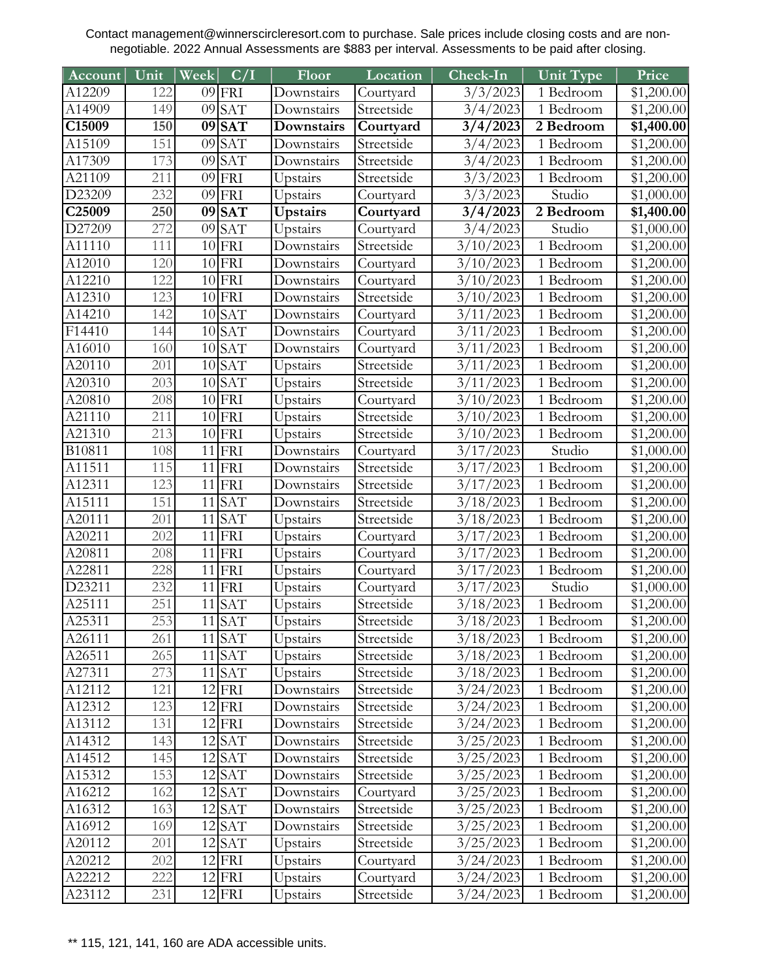| Account            | Unit       | Week            | C/I                      | Floor                    | Location                | Check-In               | Unit Type              | Price                    |
|--------------------|------------|-----------------|--------------------------|--------------------------|-------------------------|------------------------|------------------------|--------------------------|
| A12209             | 122        |                 | $09$ FRI                 | Downstairs               | Courtyard               | 3/3/2023               | $\overline{1}$ Bedroom | \$1,200.00               |
| A14909             | 149        | 09              | <b>SAT</b>               | Downstairs               | Streetside              | 3/4/2023               | 1 Bedroom              | \$1,200.00               |
| C15009             | 150        |                 | $09$ SAT                 | Downstairs               | Courtyard               | 3/4/2023               | 2 Bedroom              | \$1,400.00               |
| A15109             | 151        |                 | $09$ SAT                 | Downstairs               | Streetside              | 3/4/2023               | 1 Bedroom              | \$1,200.00               |
| A17309             | 173        | 09              | <b>SAT</b>               | Downstairs               | Streetside              | 3/4/2023               | 1 Bedroom              | \$1,200.00               |
| A21109             | 211        | 09              | FRI                      | Upstairs                 | Streetside              | 3/3/2023               | $\overline{1}$ Bedroom | \$1,200.00               |
| D23209             | 232        |                 | $09$ FRI                 | Upstairs                 | Courtyard               | 3/3/2023               | Studio                 | \$1,000.00               |
| C <sub>25009</sub> | 250        |                 | $09$ SAT                 | Upstairs                 | Courtyard               | 3/4/2023               | 2 Bedroom              | \$1,400.00               |
| D27209             | 272        | 09              | <b>SAT</b>               | Upstairs                 | Courtyard               | 3/4/2023               | Studio                 | \$1,000.00               |
| A11110             | 111        |                 | $10$ FRI                 | Downstairs               | Streetside              | 3/10/2023              | 1 Bedroom              | \$1,200.00               |
| A12010             | 120        |                 | $10$ FRI                 | Downstairs               | Courtyard               | 3/10/2023              | $\overline{1}$ Bedroom | \$1,200.00               |
| A12210             | 122        |                 | $10$ FRI                 | Downstairs               | Courtyard               | 3/10/2023              | 1 Bedroom              | \$1,200.00               |
| A12310             | 123        |                 | $10$ FRI                 | Downstairs               | Streetside              | 3/10/2023              | 1 Bedroom              | \$1,200.00               |
| A14210             | 142        |                 | $10$ SAT                 | Downstairs               | Courtyard               | 3/11/2023              | 1 Bedroom              | \$1,200.00               |
| F14410             | 144        |                 | $10$ $SAT$               | Downstairs               | Courtyard               | 3/11/2023              | $\overline{1}$ Bedroom | \$1,200.00               |
| A16010             | 160        |                 | $10$ $SAT$               | Downstairs               | Courtyard               | 3/11/2023              | 1 Bedroom              | \$1,200.00               |
| A20110             | 201        |                 | $10$ $SAT$               | Upstairs                 | Streetside              | 3/11/2023              | 1 Bedroom              | \$1,200.00               |
| A20310             | 203        |                 | 10 SAT                   | Upstairs                 | Streetside              | 3/11/2023              | 1 Bedroom              | \$1,200.00               |
| A20810             | 208        |                 | $10$ FRI                 | Upstairs                 | Courtyard               | 3/10/2023              | 1 Bedroom              | \$1,200.00               |
| A21110             | 211        |                 | $10$ FRI                 | Upstairs                 | Streetside              | 3/10/2023              | 1 Bedroom              | \$1,200.00               |
| A21310             | 213        |                 | $10$ FRI                 | Upstairs                 | Streetside              | 3/10/2023              | 1 Bedroom              | \$1,200.00               |
| B10811             | 108        |                 | $11$ FRI                 | Downstairs               | Courtyard               | 3/17/2023              | Studio                 | \$1,000.00               |
| A11511             | 115        | 11              | FRI                      | Downstairs               | Streetside              | 3/17/2023              | 1 Bedroom              | \$1,200.00               |
| A12311             | 123        |                 | $11$ FRI                 | Downstairs               | Streetside              | 3/17/2023              | 1 Bedroom              | \$1,200.00               |
| A15111             | 151        | 11              | <b>SAT</b>               | Downstairs               | Streetside              | 3/18/2023              | 1 Bedroom              | \$1,200.00               |
| A20111             | 201        | 11              | <b>SAT</b>               | Upstairs                 | Streetside              | 3/18/2023              | 1 Bedroom              | \$1,200.00               |
| A20211             | 202        |                 | $11$ FRI                 | Upstairs                 | Courtyard               | 3/17/2023              | 1 Bedroom              | \$1,200.00               |
| A20811             | 208        | 11              | FRI                      | Upstairs                 | Courtyard               | 3/17/2023              | 1 Bedroom              | \$1,200.00               |
| A22811             | 228        | 11              | <b>FRI</b>               | Upstairs                 | Courtyard               | 3/17/2023              | 1 Bedroom              | \$1,200.00               |
| D23211             | 232        | 11              | FRI                      | Upstairs                 | Courtyard               | 3/17/2023              | Studio                 | \$1,000.00               |
| A25111             | 251        | $\overline{11}$ | <b>SAT</b>               | Upstairs                 | Streetside              | $\frac{3}{18}$ /2023   | 1 Bedroom              | \$1,200.00               |
| A25311             | 253        |                 | 11 SAT                   | Upstairs                 | Streetside              | 3/18/2023              | 1 Bedroom              | $\overline{$1,200.00}$   |
| A26111             | 261        |                 | $11$ $SAT$               | Upstairs                 | Streetside              | 3/18/2023              | 1 Bedroom              | \$1,200.00               |
| A26511             | 265        |                 | $11$ $SAT$               | Upstairs                 | Streetside              | 3/18/2023              | 1 Bedroom              | \$1,200.00               |
| A27311             | 273        |                 | $11$ $SAT$               | Upstairs                 | Streetside              | 3/18/2023              | 1 Bedroom              | \$1,200.00               |
| A12112             | 121        |                 | $12$ FRI                 | Downstairs               | Streetside              | 3/24/2023              | 1 Bedroom              | \$1,200.00               |
| A12312             | 123        |                 | $12$ FRI                 | Downstairs               | Streetside              | 3/24/2023              | 1 Bedroom              | \$1,200.00               |
| A13112             | 131        |                 | $12$ FRI                 | Downstairs               | Streetside              | 3/24/2023              | 1 Bedroom              | \$1,200.00               |
| A14312             | 143        |                 | $12$ $SAT$               | Downstairs               | Streetside              | 3/25/2023              | 1 Bedroom              | \$1,200.00               |
| A14512             | 145        |                 | $12$ $SAT$               | Downstairs               | Streetside              | 3/25/2023              | 1 Bedroom              | \$1,200.00               |
| A15312             | 153        |                 | $12$ $SAT$               | Downstairs               | Streetside              | 3/25/2023              | 1 Bedroom              | \$1,200.00               |
| A16212<br>A16312   | 162        |                 | $12$ $SAT$               | Downstairs               | Courtyard<br>Streetside | 3/25/2023<br>3/25/2023 | 1 Bedroom<br>1 Bedroom | \$1,200.00               |
| A16912             | 163<br>169 |                 | 12 SAT                   | Downstairs<br>Downstairs | Streetside              |                        | 1 Bedroom              | \$1,200.00               |
|                    | 201        |                 | $12$ $SAT$<br>$12$ $SAT$ |                          |                         | 3/25/2023              | 1 Bedroom              | \$1,200.00               |
| A20112<br>A20212   | 202        |                 | $12$ FRI                 | Upstairs                 | Streetside<br>Courtyard | 3/25/2023<br>3/24/2023 | 1 Bedroom              | \$1,200.00<br>\$1,200.00 |
| A22212             | 222        |                 | $12$ FRI                 | Upstairs<br>Upstairs     | Courtyard               | 3/24/2023              | 1 Bedroom              | $\overline{$}1,200.00$   |
| A23112             | 231        |                 | $12$ FRI                 | Upstairs                 | Streetside              | 3/24/2023              | 1 Bedroom              | \$1,200.00               |
|                    |            |                 |                          |                          |                         |                        |                        |                          |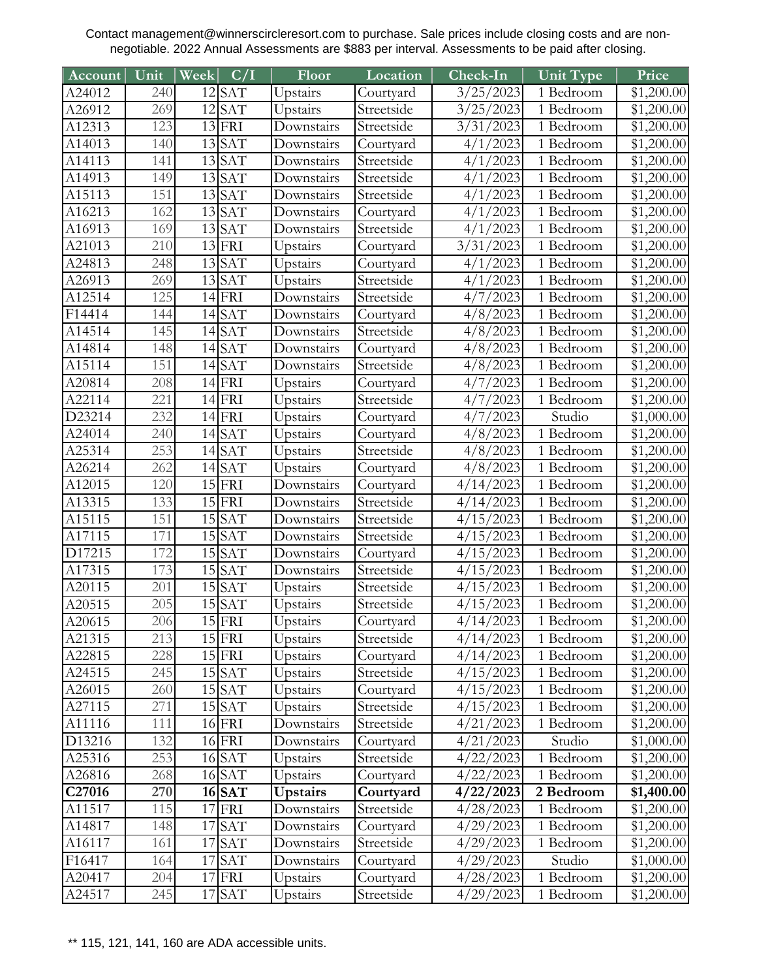| Account              | Unit | Week | C/I                 | Floor           | Location   | Check-In               | Unit Type              | Price                  |
|----------------------|------|------|---------------------|-----------------|------------|------------------------|------------------------|------------------------|
| A24012               | 240  |      | $12$ $SAT$          | Upstairs        | Courtyard  | 3/25/2023              | $\overline{1}$ Bedroom | \$1,200.00             |
| A26912               | 269  |      | $12$ $SAT$          | Upstairs        | Streetside | 3/25/2023              | 1 Bedroom              | \$1,200.00             |
| A12313               | 123  |      | $13$ FRI            | Downstairs      | Streetside | 3/31/2023              | 1 Bedroom              | \$1,200.00             |
| A14013               | 140  |      | 13 SAT              | Downstairs      | Courtyard  | 4/1/2023               | 1 Bedroom              | \$1,200.00             |
| A14113               | 141  |      | $13$ $SAT$          | Downstairs      | Streetside | 4/1/2023               | $\overline{1}$ Bedroom | $\overline{$1,200.00}$ |
| A14913               | 149  |      | $13$ $SAT$          | Downstairs      | Streetside | 4/1/2023               | 1 Bedroom              | \$1,200.00             |
| A15113               | 151  |      | 13 SAT              | Downstairs      | Streetside | 4/1/2023               | 1 Bedroom              | \$1,200.00             |
| A16213               | 162  |      | 13 SAT              | Downstairs      | Courtyard  | 4/1/2023               | 1 Bedroom              | \$1,200.00             |
| A16913               | 169  | 13   | SAT                 | Downstairs      | Streetside | 4/1/2023               | 1 Bedroom              | \$1,200.00             |
| A21013               | 210  |      | $13$ FRI            | Upstairs        | Courtyard  | 3/31/2023              | 1 Bedroom              | \$1,200.00             |
| A24813               | 248  |      | 13 SAT              | Upstairs        | Courtyard  | 4/1/2023               | 1 Bedroom              | \$1,200.00             |
| A26913               | 269  |      | 13 SAT              | Upstairs        | Streetside | 4/1/2023               | 1 Bedroom              | \$1,200.00             |
| A12514               | 125  |      | $14$ FRI            | Downstairs      | Streetside | 4/7/2023               | 1 Bedroom              | \$1,200.00             |
| F14414               | 144  |      | 14 SAT              | Downstairs      | Courtyard  | 4/8/2023               | 1 Bedroom              | \$1,200.00             |
| $\overline{A}$ 14514 | 145  |      | $14$ SAT            | Downstairs      | Streetside | 4/8/2023               | 1 Bedroom              | \$1,200.00             |
| A14814               | 148  |      | 14 SAT              | Downstairs      | Courtyard  | 4/8/2023               | 1 Bedroom              | \$1,200.00             |
| A15114               | 151  |      | $14$ $SAT$          | Downstairs      | Streetside | 4/8/2023               | 1 Bedroom              | \$1,200.00             |
| A20814               | 208  |      | $14$ FRI            | Upstairs        | Courtyard  | 4/7/2023               | 1 Bedroom              | \$1,200.00             |
| A22114               | 221  |      | $14$ FRI            | Upstairs        | Streetside | 4/7/2023               | 1 Bedroom              | \$1,200.00             |
| D23214               | 232  |      | $14$ FRI            | Upstairs        | Courtyard  | 4/7/2023               | Studio                 | \$1,000.00             |
| A24014               | 240  |      | 14 SAT              | Upstairs        | Courtyard  | 4/8/2023               | 1 Bedroom              | \$1,200.00             |
| A25314               | 253  |      | 14 SAT              | Upstairs        | Streetside | 4/8/2023               | 1 Bedroom              | \$1,200.00             |
| A26214               | 262  |      | $14$ SAT            | Upstairs        | Courtyard  | 4/8/2023               | 1 Bedroom              | \$1,200.00             |
| A12015               | 120  |      | $15$ FRI            | Downstairs      | Courtyard  | 4/14/2023              | 1 Bedroom              | \$1,200.00             |
| A13315               | 133  |      | $15$ FRI            | Downstairs      | Streetside | 4/14/2023              | 1 Bedroom              | \$1,200.00             |
| A15115               | 151  |      | $15$ SAT            | Downstairs      | Streetside | 4/15/2023              | 1 Bedroom              | \$1,200.00             |
| A17115               | 171  |      | $15$ $SAT$          | Downstairs      | Streetside | 4/15/2023              | 1 Bedroom              | \$1,200.00             |
| D17215               | 172  |      | $15$ SAT            | Downstairs      | Courtyard  | 4/15/2023              | 1 Bedroom              | \$1,200.00             |
| A17315               | 173  | 15   | <b>SAT</b>          | Downstairs      | Streetside | 4/15/2023              | 1 Bedroom              | \$1,200.00             |
| A20115               | 201  |      | $15$ $SAT$          | Upstairs        | Streetside | 4/15/2023              | 1 Bedroom              | \$1,200.00             |
| A20515               | 205  |      | $\overline{15}$ SAT | Upstairs        | Streetside | 4/15/2023              | 1 Bedroom              | \$1,200.00             |
| $\overline{A20615}$  | 206  |      | $15$ FRI            | Upstairs        | Courtyard  | $4/\overline{14/2023}$ | 1 Bedroom              | \$1,200.00             |
| A21315               | 213  |      | $15$ FRI            | Upstairs        | Streetside | 4/14/2023              | 1 Bedroom              | \$1,200.00             |
| A22815               | 228  |      | $15$ FRI            | Upstairs        | Courtyard  | 4/14/2023              | 1 Bedroom              | \$1,200.00             |
| A24515               | 245  |      | $15$ $SAT$          | Upstairs        | Streetside | 4/15/2023              | 1 Bedroom              | \$1,200.00             |
| A26015               | 260  |      | $15$ $SAT$          | Upstairs        | Courtyard  | 4/15/2023              | 1 Bedroom              | \$1,200.00             |
| A27115               | 271  |      | $15$ $SAT$          | Upstairs        | Streetside | 4/15/2023              | 1 Bedroom              | \$1,200.00             |
| A11116               | 111  |      | $16$ FRI            | Downstairs      | Streetside | 4/21/2023              | 1 Bedroom              | \$1,200.00             |
| D13216               | 132  |      | $16$ FRI            | Downstairs      | Courtyard  | 4/21/2023              | Studio                 | \$1,000.00             |
| A25316               | 253  |      | $16$ $SAT$          | Upstairs        | Streetside | 4/22/2023              | 1 Bedroom              | \$1,200.00             |
| A26816               | 268  |      | $16$ SAT            | Upstairs        | Courtyard  | 4/22/2023              | 1 Bedroom              | \$1,200.00             |
| C <sub>27016</sub>   | 270  |      | $16$ $SAT$          | <b>Upstairs</b> | Courtyard  | 4/22/2023              | 2 Bedroom              | \$1,400.00             |
| A11517               | 115  |      | $17$ FRI            | Downstairs      | Streetside | 4/28/2023              | 1 Bedroom              | \$1,200.00             |
| A14817               | 148  |      | 17 SAT              | Downstairs      | Courtyard  | 4/29/2023              | 1 Bedroom              | \$1,200.00             |
| A16117               | 161  |      | $17$ $SAT$          | Downstairs      | Streetside | 4/29/2023              | 1 Bedroom              | \$1,200.00             |
| F16417               | 164  |      | 17 SAT              | Downstairs      | Courtyard  | 4/29/2023              | Studio                 | \$1,000.00             |
| A20417               | 204  |      | $17$ FRI            | Upstairs        | Courtyard  | 4/28/2023              | 1 Bedroom              | \$1,200.00             |
| A24517               | 245  |      | 17 SAT              | Upstairs        | Streetside | 4/29/2023              | 1 Bedroom              | \$1,200.00             |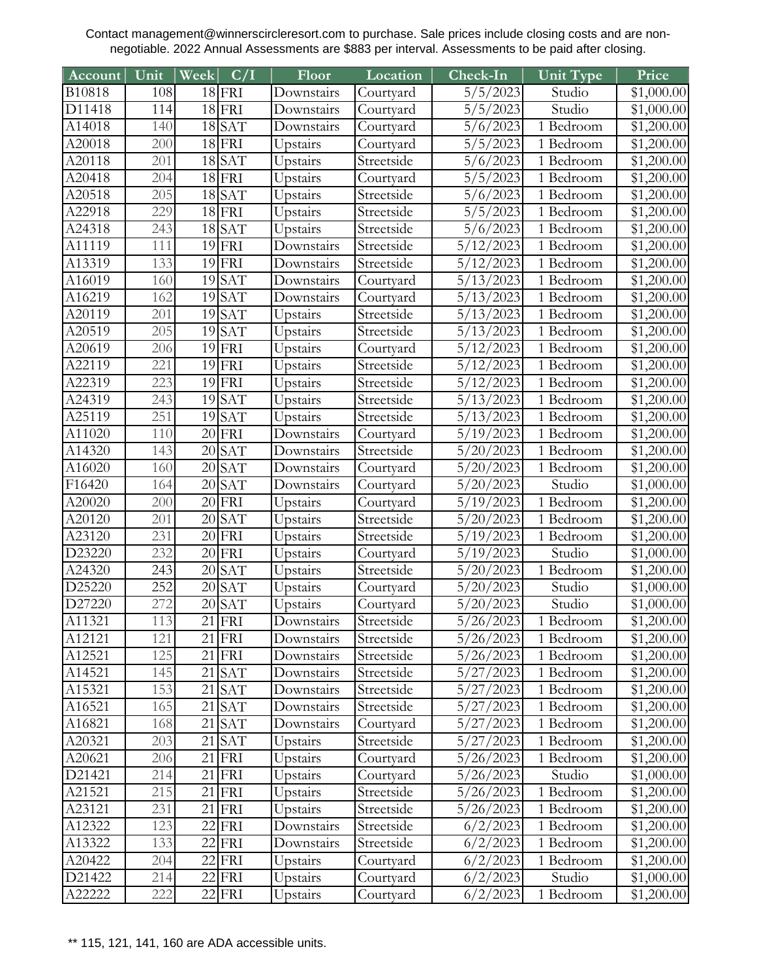| Account             | Unit             | Week | C/I                 | Floor      | Location   | Check-In  | Unit Type              | Price                  |
|---------------------|------------------|------|---------------------|------------|------------|-----------|------------------------|------------------------|
| B10818              | 108              |      | $18$ FRI            | Downstairs | Courtyard  | 5/5/2023  | Studio                 | \$1,000.00             |
| D11418              | 114              |      | $18$ FRI            | Downstairs | Courtyard  | 5/5/2023  | Studio                 | \$1,000.00             |
| A14018              | 140              |      | $18$ SAT            | Downstairs | Courtyard  | 5/6/2023  | 1 Bedroom              | \$1,200.00             |
| A20018              | 200              |      | $18$ FRI            | Upstairs   | Courtyard  | 5/5/2023  | 1 Bedroom              | \$1,200.00             |
| A20118              | 201              |      | $18$ $SAT$          | Upstairs   | Streetside | 5/6/2023  | $\overline{1}$ Bedroom | \$1,200.00             |
| A20418              | $\overline{204}$ |      | $\overline{18}$ FRI | Upstairs   | Courtyard  | 5/5/2023  | 1 Bedroom              | \$1,200.00             |
| A20518              | 205              |      | $18$ $SAT$          | Upstairs   | Streetside | 5/6/2023  | 1 Bedroom              | \$1,200.00             |
| A22918              | 229              |      | $18$ FRI            | Upstairs   | Streetside | 5/5/2023  | 1 Bedroom              | \$1,200.00             |
| A24318              | 243              |      | $18$ $SAT$          | Upstairs   | Streetside | 5/6/2023  | 1 Bedroom              | \$1,200.00             |
| A11119              | 111              |      | $19$ FRI            | Downstairs | Streetside | 5/12/2023 | 1 Bedroom              | \$1,200.00             |
| A13319              | 133              |      | $19$ FRI            | Downstairs | Streetside | 5/12/2023 | 1 Bedroom              | \$1,200.00             |
| A16019              | 160              | 19   | <b>SAT</b>          | Downstairs | Courtyard  | 5/13/2023 | 1 Bedroom              | \$1,200.00             |
| A16219              | 162              | 19   | <b>SAT</b>          | Downstairs | Courtyard  | 5/13/2023 | 1 Bedroom              | \$1,200.00             |
| A20119              | 201              |      | $19$ $SAT$          | Upstairs   | Streetside | 5/13/2023 | 1 Bedroom              | \$1,200.00             |
| A20519              | 205              | 19   | SAT                 | Upstairs   | Streetside | 5/13/2023 | 1 Bedroom              | \$1,200.00             |
| A20619              | 206              |      | $19$ FRI            | Upstairs   | Courtyard  | 5/12/2023 | 1 Bedroom              | \$1,200.00             |
| A22119              | 221              | 19   | FRI                 | Upstairs   | Streetside | 5/12/2023 | 1 Bedroom              | \$1,200.00             |
| A22319              | 223              |      | $19$ FRI            | Upstairs   | Streetside | 5/12/2023 | 1 Bedroom              | \$1,200.00             |
| A24319              | 243              |      | $19$ $SAT$          | Upstairs   | Streetside | 5/13/2023 | 1 Bedroom              | \$1,200.00             |
| A25119              | 251              | 19   | <b>SAT</b>          | Upstairs   | Streetside | 5/13/2023 | 1 Bedroom              | \$1,200.00             |
| A11020              | 110              |      | $20$ FRI            | Downstairs | Courtyard  | 5/19/2023 | 1 Bedroom              | \$1,200.00             |
| $\overline{A14320}$ | 143              |      | $20$ $SAT$          | Downstairs | Streetside | 5/20/2023 | 1 Bedroom              | $\overline{$1,200.00}$ |
| A16020              | 160              |      | $20$ SAT            | Downstairs | Courtyard  | 5/20/2023 | $\overline{1}$ Bedroom | \$1,200.00             |
| F16420              | 164              |      | $20$ $SAT$          | Downstairs | Courtyard  | 5/20/2023 | Studio                 | \$1,000.00             |
| A20020              | 200              |      | $20$ FRI            | Upstairs   | Courtyard  | 5/19/2023 | $\overline{1}$ Bedroom | \$1,200.00             |
| A20120              | 201              | 20   | <b>SAT</b>          | Upstairs   | Streetside | 5/20/2023 | 1 Bedroom              | \$1,200.00             |
| A23120              | 231              |      | $20$ FRI            | Upstairs   | Streetside | 5/19/2023 | 1 Bedroom              | \$1,200.00             |
| D23220              | 232              |      | $20$ FRI            | Upstairs   | Courtyard  | 5/19/2023 | Studio                 | \$1,000.00             |
| A24320              | 243              | 20   | <b>SAT</b>          | Upstairs   | Streetside | 5/20/2023 | 1 Bedroom              | \$1,200.00             |
| D25220              | 252              |      | $20$ SAT            | Upstairs   | Courtyard  | 5/20/2023 | Studio                 | \$1,000.00             |
| D27220              | 272              |      | $20$ $SAT$          | Upstairs   | Courtyard  | 5/20/2023 | Studio                 | \$1,000.00             |
| A11321              | 113              |      | $21$ FRI            | Downstairs | Streetside | 5/26/2023 | 1 Bedroom              | $\sqrt{$1,200.00}$     |
| A12121              | 121              |      | $21$ FRI            | Downstairs | Streetside | 5/26/2023 | 1 Bedroom              | \$1,200.00             |
| A12521              | 125              |      | $21$ FRI            | Downstairs | Streetside | 5/26/2023 | 1 Bedroom              | \$1,200.00             |
| A14521              | 145              |      | $21$ $SAT$          | Downstairs | Streetside | 5/27/2023 | 1 Bedroom              | \$1,200.00             |
| A15321              | 153              |      | $21$ $SAT$          | Downstairs | Streetside | 5/27/2023 | 1 Bedroom              | \$1,200.00             |
| A16521              | 165              |      | $21$ $SAT$          | Downstairs | Streetside | 5/27/2023 | 1 Bedroom              | \$1,200.00             |
| A16821              | 168              |      | $21$ $SAT$          | Downstairs | Courtyard  | 5/27/2023 | 1 Bedroom              | \$1,200.00             |
| A20321              | 203              |      | $21$ $SAT$          | Upstairs   | Streetside | 5/27/2023 | 1 Bedroom              | \$1,200.00             |
| A20621              | 206              |      | $21$ FRI            | Upstairs   | Courtyard  | 5/26/2023 | 1 Bedroom              | \$1,200.00             |
| D21421              | 214              |      | $21$ FRI            | Upstairs   | Courtyard  | 5/26/2023 | Studio                 | \$1,000.00             |
| A21521              | 215              |      | $21$ FRI            | Upstairs   | Streetside | 5/26/2023 | 1 Bedroom              | \$1,200.00             |
| A23121              | 231              |      | $21$ FRI            | Upstairs   | Streetside | 5/26/2023 | 1 Bedroom              | \$1,200.00             |
| A12322              | 123              |      | $22$ FRI            | Downstairs | Streetside | 6/2/2023  | 1 Bedroom              | \$1,200.00             |
| A13322              | 133              |      | $22$ FRI            | Downstairs | Streetside | 6/2/2023  | 1 Bedroom              | \$1,200.00             |
| A20422              | 204              |      | $22$ FRI            | Upstairs   | Courtyard  | 6/2/2023  | 1 Bedroom              | \$1,200.00             |
| D21422              | 214              |      | $22$ FRI            | Upstairs   | Courtyard  | 6/2/2023  | Studio                 | \$1,000.00             |
| A22222              | 222              |      | $22$ FRI            | Upstairs   | Courtyard  | 6/2/2023  | 1 Bedroom              | \$1,200.00             |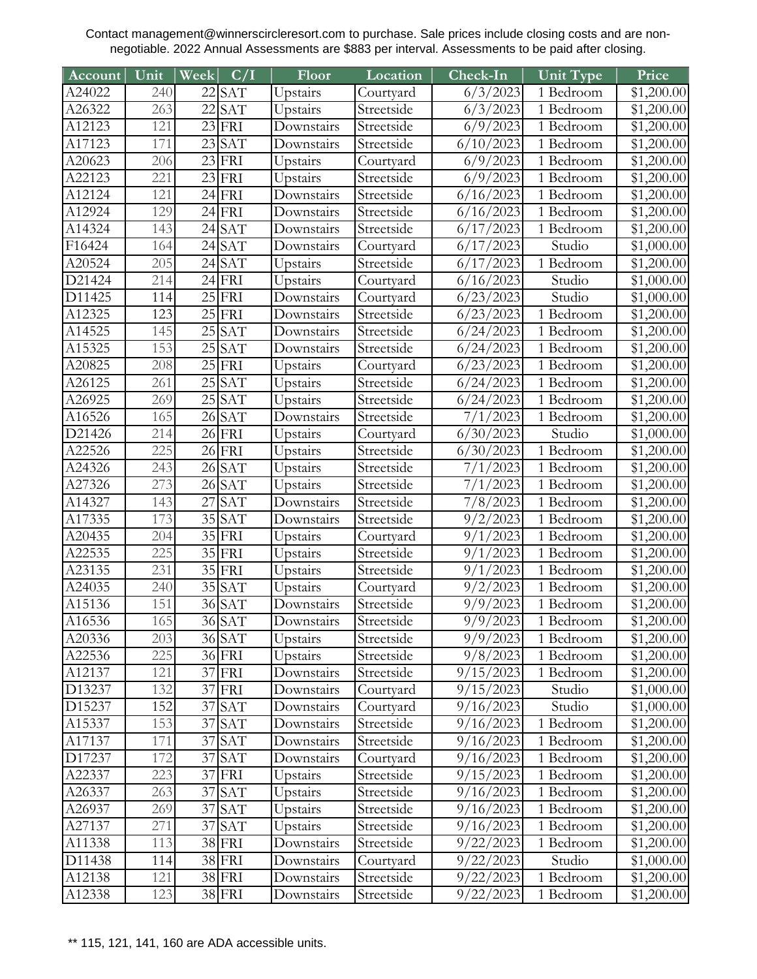| <b>Account</b>   | Unit             | Week | C/I                       | Floor                  | Location                 | Check-In                       | Unit Type              | Price                    |
|------------------|------------------|------|---------------------------|------------------------|--------------------------|--------------------------------|------------------------|--------------------------|
| A24022           | 240              |      | $22$ SAT                  | Upstairs               | Courtyard                | $\sqrt{6}/3/2023$              | $\overline{1}$ Bedroom | \$1,200.00               |
| A26322           | 263              | 22   | <b>SAT</b>                | Upstairs               | Streetside               | 6/3/2023                       | 1 Bedroom              | \$1,200.00               |
| A12123           | 121              |      | $23$ FRI                  | Downstairs             | Streetside               | 6/9/2023                       | 1 Bedroom              | \$1,200.00               |
| A17123           | 171              |      | $23$ SAT                  | Downstairs             | Streetside               | 6/10/2023                      | 1 Bedroom              | \$1,200.00               |
| A20623           | 206              |      | $23$ FRI                  | Upstairs               | Courtyard                | 6/9/2023                       | $\overline{1}$ Bedroom | \$1,200.00               |
| A22123           | 221              |      | $\overline{23}$ FRI       | Upstairs               | Streetside               | 6/9/2023                       | 1 Bedroom              | \$1,200.00               |
| A12124           | 121              |      | $24$ FRI                  | Downstairs             | Streetside               | 6/16/2023                      | 1 Bedroom              | \$1,200.00               |
| A12924           | 129              |      | $24$ FRI                  | Downstairs             | Streetside               | 6/16/2023                      | 1 Bedroom              | \$1,200.00               |
| A14324           | 143              | 24   | <b>SAT</b>                | Downstairs             | Streetside               | 6/17/2023                      | 1 Bedroom              | \$1,200.00               |
| F16424           | 164              | 24   | <b>SAT</b>                | Downstairs             | Courtyard                | 6/17/2023                      | Studio                 | \$1,000.00               |
| A20524           | 205              |      | $\overline{24}$ SAT       | Upstairs               | Streetside               | 6/17/2023                      | 1 Bedroom              | \$1,200.00               |
| D21424           | 214              |      | $24$ FRI                  | Upstairs               | Courtyard                | 6/16/2023                      | Studio                 | \$1,000.00               |
| D11425           | 114              |      | $25$ FRI                  | Downstairs             | Courtyard                | 6/23/2023                      | Studio                 | \$1,000.00               |
| A12325           | 123              |      | $25$ FRI                  | Downstairs             | Streetside               | 6/23/2023                      | $\overline{1}$ Bedroom | \$1,200.00               |
| A14525           | 145              |      | $25$ SAT                  | Downstairs             | Streetside               | 6/24/2023                      | 1 Bedroom              | \$1,200.00               |
| A15325           | $\overline{1}53$ | 25   | <b>SAT</b>                | Downstairs             | Streetside               | 6/24/2023                      | 1 Bedroom              | \$1,200.00               |
| A20825           | 208              |      | $\overline{25}$ FRI       | Upstairs               | Courtyard                | 6/23/2023                      | 1 Bedroom              | \$1,200.00               |
| A26125           | 261              |      | $25$ SAT                  | Upstairs               | Streetside               | 6/24/2023                      | 1 Bedroom              | \$1,200.00               |
| A26925           | 269              |      | $25$ SAT                  | Upstairs               | Streetside               | 6/24/2023                      | 1 Bedroom              | \$1,200.00               |
| A16526           | 165              |      | $26$ SAT                  | Downstairs             | Streetside               | 7/1/2023                       | 1 Bedroom              | \$1,200.00               |
| D21426           | 214              |      | $26$ FRI                  | Upstairs               | Courtyard                | 6/30/2023                      | Studio                 | $\overline{$1,000.00}$   |
| A22526           | $\overline{225}$ |      | $\overline{26}$ FRI       | Upstairs               | Streetside               | 6/30/2023                      | 1 Bedroom              | \$1,200.00               |
| A24326           | 243              |      | $26$ SAT                  | Upstairs               | Streetside               | 7/1/2023                       | 1 Bedroom              | \$1,200.00               |
| A27326           | 273              |      | $26$ SAT                  | Upstairs               | Streetside               | 7/1/2023                       | 1 Bedroom              | \$1,200.00               |
| A14327           | 143              | 27   | <b>SAT</b>                | Downstairs             | Streetside               | 7/8/2023                       | 1 Bedroom              | \$1,200.00               |
| A17335           | 173              |      | $35$ $SAT$                | Downstairs             | Streetside               | 9/2/2023                       | 1 Bedroom              | \$1,200.00               |
| A20435           | 204              |      | $\overline{35}$ FRI       | Upstairs               | Courtyard                | 9/1/2023                       | 1 Bedroom              | \$1,200.00               |
| A22535           | 225              |      | 35 FRI                    | Upstairs               | Streetside               | 9/1/2023                       | 1 Bedroom              | \$1,200.00               |
| A23135           | 231              |      | 35 FRI                    | Upstairs               | Streetside               | 9/1/2023                       | 1 Bedroom              | \$1,200.00               |
| A24035           | 240              |      | $35$ $SAT$                | Upstairs               | Courtyard                | 9/2/2023                       | 1 Bedroom              | \$1,200.00               |
| A15136           | 151<br>165       |      | $36\overline{\text{SAT}}$ | Downstairs             | Streetside               | 9/9/2023                       | 1 Bedroom              | \$1,200.00               |
| A16536           |                  |      | 36 SAT                    | Downstairs             | Streetside               | 9/9/2023                       | 1 Bedroom              | $\sqrt{$1,200.00}$       |
| A20336           | 203              |      | 36 SAT                    | Upstairs               | Streetside               | 9/9/2023                       | 1 Bedroom              | \$1,200.00               |
| A22536           | 225<br>121       |      | 36 FRI<br>37 FRI          | Upstairs<br>Downstairs | Streetside<br>Streetside | 9/8/2023<br>$\sqrt{9}/15/2023$ | 1 Bedroom              | \$1,200.00               |
| A12137<br>D13237 | 132              |      | $37$ FRI                  | Downstairs             | Courtyard                | 9/15/2023                      | 1 Bedroom<br>Studio    | \$1,200.00<br>\$1,000.00 |
| D15237           | 152              |      | 37 SAT                    | Downstairs             | Courtyard                | $\frac{1}{9}$ /16/2023         | Studio                 | \$1,000.00               |
| A15337           | 153              |      | $37$ $SAT$                | Downstairs             | Streetside               | 9/16/2023                      | 1 Bedroom              | \$1,200.00               |
| A17137           | 171              |      | 37 SAT                    | Downstairs             | Streetside               | 9/16/2023                      | 1 Bedroom              | \$1,200.00               |
| D17237           | 172              |      | 37 SAT                    | Downstairs             | Courtyard                | 9/16/2023                      | 1 Bedroom              | \$1,200.00               |
| A22337           | 223              |      | 37 FRI                    | Upstairs               | Streetside               | 9/15/2023                      | 1 Bedroom              | \$1,200.00               |
| A26337           | 263              |      | 37 SAT                    | Upstairs               | Streetside               | $\frac{9}{16}{2023}$           | 1 Bedroom              | \$1,200.00               |
| A26937           | 269              |      | 37 SAT                    | Upstairs               | Streetside               | 9/16/2023                      | 1 Bedroom              | \$1,200.00               |
| A27137           | 271              |      | 37 SAT                    | Upstairs               | Streetside               | 9/16/2023                      | 1 Bedroom              | \$1,200.00               |
| A11338           | 113              |      | 38 FRI                    | Downstairs             | Streetside               | 9/22/2023                      | 1 Bedroom              | \$1,200.00               |
| D11438           | 114              |      | 38 FRI                    | Downstairs             | Courtyard                | 9/22/2023                      | Studio                 | \$1,000.00               |
| A12138           | 121              |      | 38 FRI                    | Downstairs             | Streetside               | 9/22/2023                      | 1 Bedroom              | \$1,200.00               |
| A12338           | 123              |      | 38 FRI                    | Downstairs             | Streetside               | 9/22/2023                      | 1 Bedroom              | \$1,200.00               |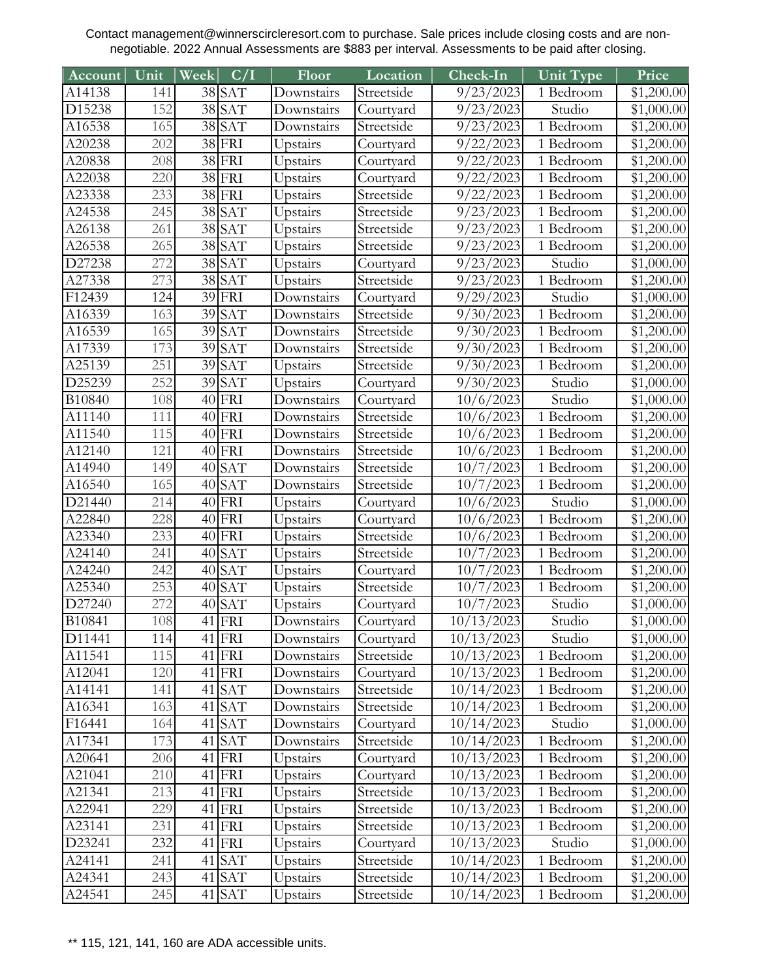| Account | Unit             | Week | C/I                 | Floor      | Location   | $Check-In$              | Unit Type              | Price                  |
|---------|------------------|------|---------------------|------------|------------|-------------------------|------------------------|------------------------|
| A14138  | 141              |      | 38 SAT              | Downstairs | Streetside | 9/23/2023               | 1 Bedroom              | \$1,200.00             |
| D15238  | 152              |      | 38 SAT              | Downstairs | Courtyard  | 9/23/2023               | Studio                 | \$1,000.00             |
| A16538  | 165              |      | 38 SAT              | Downstairs | Streetside | 9/23/2023               | 1 Bedroom              | \$1,200.00             |
| A20238  | 202              |      | 38 FRI              | Upstairs   | Courtyard  | 9/22/2023               | 1 Bedroom              | \$1,200.00             |
| A20838  | 208              |      | $\overline{38}$ FRI | Upstairs   | Courtyard  | 9/22/2023               | 1 Bedroom              | $\overline{$1,200.00}$ |
| A22038  | 220              |      | $38$ FRI            | Upstairs   | Courtyard  | 9/22/2023               | 1 Bedroom              | \$1,200.00             |
| A23338  | 233              |      | 38 FRI              | Upstairs   | Streetside | 9/22/2023               | 1 Bedroom              | \$1,200.00             |
| A24538  | 245              |      | $\overline{38}$ SAT | Upstairs   | Streetside | 9/23/2023               | $\overline{1}$ Bedroom | \$1,200.00             |
| A26138  | 261              | 38   | <b>SAT</b>          | Upstairs   | Streetside | 9/23/2023               | 1 Bedroom              | \$1,200.00             |
| A26538  | 265              |      | 38 SAT              | Upstairs   | Streetside | 9/23/2023               | 1 Bedroom              | \$1,200.00             |
| D27238  | 272              |      | $38$ $SAT$          | Upstairs   | Courtyard  | 9/23/2023               | Studio                 | \$1,000.00             |
| A27338  | 273              |      | 38 SAT              | Upstairs   | Streetside | 9/23/2023               | 1 Bedroom              | \$1,200.00             |
| F12439  | 124              | 39   | FRI                 | Downstairs | Courtyard  | 9/29/2023               | Studio                 | \$1,000.00             |
| A16339  | 163              |      | 39 SAT              | Downstairs | Streetside | 9/30/2023               | $\overline{1}$ Bedroom | \$1,200.00             |
| A16539  | 165              | 39   | <b>SAT</b>          | Downstairs | Streetside | 9/30/2023               | 1 Bedroom              | \$1,200.00             |
| A17339  | $\overline{1}73$ | 39   | <b>SAT</b>          | Downstairs | Streetside | 9/30/2023               | $\overline{1}$ Bedroom | \$1,200.00             |
| A25139  | 251              |      | 39 SAT              | Upstairs   | Streetside | 9/30/2023               | 1 Bedroom              | \$1,200.00             |
| D25239  | 252              | 39   | <b>SAT</b>          | Upstairs   | Courtyard  | 9/30/2023               | Studio                 | \$1,000.00             |
| B10840  | 108              |      | $40$ FRI            | Downstairs | Courtyard  | 10/6/2023               | Studio                 | \$1,000.00             |
| A11140  | 111              |      | $40$ FRI            | Downstairs | Streetside | 10/6/2023               | 1 Bedroom              | \$1,200.00             |
| A11540  | 115              |      | $40$ FRI            | Downstairs | Streetside | 10/6/2023               | 1 Bedroom              | \$1,200.00             |
| A12140  | 121              |      | $40$ FRI            | Downstairs | Streetside | 10/6/2023               | $\overline{1}$ Bedroom | \$1,200.00             |
| A14940  | 149              | 40   | <b>SAT</b>          | Downstairs | Streetside | 10/7/2023               | 1 Bedroom              | \$1,200.00             |
| A16540  | 165              |      | $40$ $SAT$          | Downstairs | Streetside | 10/7/2023               | 1 Bedroom              | \$1,200.00             |
| D21440  | 214              |      | $40$ FRI            | Upstairs   | Courtyard  | 10/6/2023               | Studio                 | \$1,000.00             |
| A22840  | 228              |      | $40$ FRI            | Upstairs   | Courtyard  | 10/6/2023               | 1 Bedroom              | \$1,200.00             |
| A23340  | 233              |      | $40$ FRI            | Upstairs   | Streetside | 10/6/2023               | 1 Bedroom              | \$1,200.00             |
| A24140  | 241              | 40   | <b>SAT</b>          | Upstairs   | Streetside | 10/7/2023               | 1 Bedroom              | \$1,200.00             |
| A24240  | 242              | 40   | <b>SAT</b>          | Upstairs   | Courtyard  | 10/7/2023               | 1 Bedroom              | \$1,200.00             |
| A25340  | 253              |      | $40$ $SAT$          | Upstairs   | Streetside | 10/7/2023               | 1 Bedroom              | \$1,200.00             |
| D27240  | 272              |      | $\overline{40}$ SAT | Upstairs   | Courtyard  | 10/7/2023               | Studio                 | \$1,000.00             |
| B10841  | 108              |      | $41$ FRI            | Downstairs | Courtyard  | 10/13/2023              | Studio                 | $\overline{$1,000.00}$ |
| D11441  | 114              |      | $41$ FRI            | Downstairs | Courtyard  | 10/13/2023              | Studio                 | \$1,000.00             |
| A11541  | 115              |      | $41$ FRI            | Downstairs | Streetside | 10/13/2023              | 1 Bedroom              | \$1,200.00             |
| A12041  | 120              |      | $41$ FRI            | Downstairs | Courtyard  | 10/13/2023              | 1 Bedroom              | \$1,200.00             |
| A14141  | 141              |      | $41$ SAT            | Downstairs | Streetside | $\overline{10}/14/2023$ | 1 Bedroom              | \$1,200.00             |
| A16341  | 163              |      | $41$ SAT            | Downstairs | Streetside | 10/14/2023              | 1 Bedroom              | \$1,200.00             |
| F16441  | 164              |      | $41$ SAT            | Downstairs | Courtyard  | 10/14/2023              | Studio                 | \$1,000.00             |
| A17341  | 173              |      | $41$ SAT            | Downstairs | Streetside | 10/14/2023              | 1 Bedroom              | \$1,200.00             |
| A20641  | 206              |      | $41$ FRI            | Upstairs   | Courtyard  | 10/13/2023              | 1 Bedroom              | \$1,200.00             |
| A21041  | 210              |      | $41$ FRI            | Upstairs   | Courtyard  | 10/13/2023              | 1 Bedroom              | \$1,200.00             |
| A21341  | 213              |      | $41$ FRI            | Upstairs   | Streetside | 10/13/2023              | 1 Bedroom              | \$1,200.00             |
| A22941  | 229              |      | $41$ FRI            | Upstairs   | Streetside | $\overline{10}/13/2023$ | 1 Bedroom              | \$1,200.00             |
| A23141  | 231              |      | $41$ FRI            | Upstairs   | Streetside | 10/13/2023              | 1 Bedroom              | \$1,200.00             |
| D23241  | 232              |      | $41$ FRI            | Upstairs   | Courtyard  | $\overline{10/13}/2023$ | Studio                 | \$1,000.00             |
| A24141  | 241              |      | $41$ SAT            | Upstairs   | Streetside | $\overline{10}/14/2023$ | 1 Bedroom              | \$1,200.00             |
| A24341  | 243              |      | 41 SAT              | Upstairs   | Streetside | 10/14/2023              | 1 Bedroom              | \$1,200.00             |
| A24541  | 245              |      | $41$ SAT            | Upstairs   | Streetside | 10/14/2023              | 1 Bedroom              | \$1,200.00             |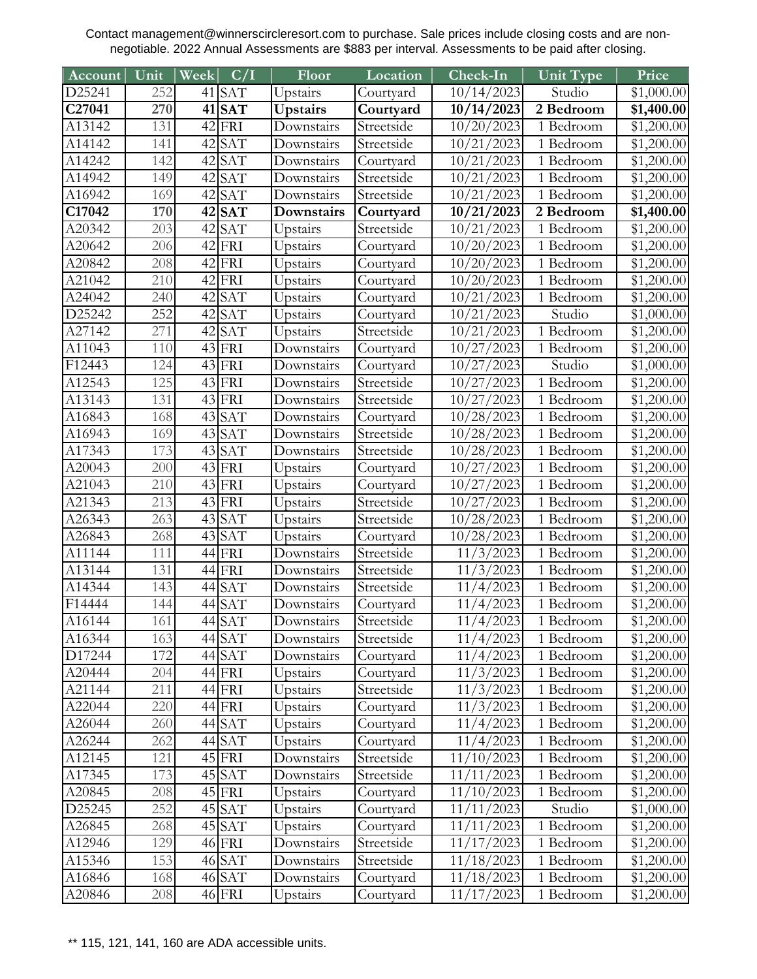| Account            | Unit       | Week | C/I                  | Floor                | Location                | Check-In                | Unit Type                  | Price                    |
|--------------------|------------|------|----------------------|----------------------|-------------------------|-------------------------|----------------------------|--------------------------|
| D25241             | 252        |      | $41$ SAT             | Upstairs             | Courtyard               | 10/14/2023              | $\overline{\text{Studio}}$ | \$1,000.00               |
| C27041             | 270        |      | $41$ SAT             | <b>Upstairs</b>      | Courtyard               | 10/14/2023              | 2 Bedroom                  | \$1,400.00               |
| A13142             | 131        |      | $42$ FRI             | Downstairs           | Streetside              | 10/20/2023              | 1 Bedroom                  | \$1,200.00               |
| A14142             | 141        |      | $42$ SAT             | Downstairs           | Streetside              | 10/21/2023              | 1 Bedroom                  | \$1,200.00               |
| A14242             | 142        |      | $42$ SAT             | Downstairs           | Courtyard               | 10/21/2023              | 1 Bedroom                  | \$1,200.00               |
| A14942             | 149        |      | $42$ SAT             | Downstairs           | Streetside              | 10/21/2023              | 1 Bedroom                  | \$1,200.00               |
| A16942             | 169        |      | $42$ SAT             | Downstairs           | Streetside              | 10/21/2023              | 1 Bedroom                  | \$1,200.00               |
| C17042             | 170        |      | $42$ SAT             | Downstairs           | Courtyard               | 10/21/2023              | 2 Bedroom                  | \$1,400.00               |
| A20342             | 203        | 42   | <b>SAT</b>           | Upstairs             | Streetside              | 10/21/2023              | 1 Bedroom                  | \$1,200.00               |
| A20642             | 206        |      | $42$ FRI             | Upstairs             | Courtyard               | 10/20/2023              | 1 Bedroom                  | \$1,200.00               |
| A20842             | 208        |      | $42$ FRI             | Upstairs             | Courtyard               | 10/20/2023              | 1 Bedroom                  | \$1,200.00               |
| A21042             | 210        |      | $42$ FRI             | Upstairs             | Courtyard               | 10/20/2023              | 1 Bedroom                  | \$1,200.00               |
| A24042             | 240        |      | $42$ SAT             | Upstairs             | Courtyard               | 10/21/2023              | 1 Bedroom                  | \$1,200.00               |
| D25242             | 252        |      | $42$ SAT             | Upstairs             | Courtyard               | 10/21/2023              | Studio                     | \$1,000.00               |
| A27142             | 271        |      | $42$ SAT             | Upstairs             | Streetside              | 10/21/2023              | $\overline{1}$ Bedroom     | \$1,200.00               |
| A11043             | 110        |      | $43$ FRI             | Downstairs           | Courtyard               | 10/27/2023              | 1 Bedroom                  | \$1,200.00               |
| F <sub>12443</sub> | 124        |      | $43$ FRI             | Downstairs           | Courtyard               | 10/27/2023              | Studio                     | \$1,000.00               |
| A12543             | 125        |      | $43$ FRI             | Downstairs           | Streetside              | 10/27/2023              | 1 Bedroom                  | \$1,200.00               |
| A13143             | 131        |      | $43$ FRI             | Downstairs           | Streetside              | 10/27/2023              | 1 Bedroom                  | \$1,200.00               |
| A16843             | 168        |      | 43 SAT               | Downstairs           | Courtyard               | 10/28/2023              | 1 Bedroom                  | \$1,200.00               |
| A16943             | 169        |      | $43$ SAT             | Downstairs           | Streetside              | 10/28/2023              | 1 Bedroom                  | \$1,200.00               |
| A17343             | 173        |      | $43$ SAT             | Downstairs           | Streetside              | 10/28/2023              | 1 Bedroom                  | \$1,200.00               |
| A20043             | 200        |      | 43 FRI               | Upstairs             | Courtyard               | 10/27/2023              | 1 Bedroom                  | \$1,200.00               |
| A21043             | 210        |      | $43$ FRI             | Upstairs             | Courtyard               | 10/27/2023              | 1 Bedroom                  | \$1,200.00               |
| A21343             | 213        |      | $43$ FRI             | Upstairs             | Streetside              | 10/27/2023              | 1 Bedroom                  | \$1,200.00               |
| A26343             | 263        |      | $43$ SAT             | Upstairs             | Streetside              | 10/28/2023              | 1 Bedroom                  | \$1,200.00               |
| A26843             | 268        |      | $43$ SAT             | Upstairs             | Courtyard               | 10/28/2023              | 1 Bedroom                  | \$1,200.00               |
| A11144             | 111        |      | 44 FRI               | Downstairs           | Streetside              | 11/3/2023               | 1 Bedroom                  | \$1,200.00               |
| A13144             | 131        |      | 44 FRI               | Downstairs           | Streetside              | 11/3/2023               | 1 Bedroom                  | \$1,200.00               |
| A14344             | 143        |      | 44 SAT               | Downstairs           | Streetside              | 11/4/2023               | 1 Bedroom                  | \$1,200.00               |
| F14444             | 144        |      | $\overline{44}$ SAT  | Downstairs           | Courtyard               | 11/4/2023               | 1 Bedroom                  | \$1,200.00               |
| A16144             | 161        |      | 44 SAT               | Downstairs           | Streetside              | 11/4/2023               | 1 Bedroom                  | $\overline{$1,200.00}$   |
| A16344             | 163        |      | 44 SAT               | Downstairs           | Streetside              | 11/4/2023               | 1 Bedroom                  | \$1,200.00               |
| D17244             | 172        |      | 44 SAT               | Downstairs           | Courtyard               | 11/4/2023               | 1 Bedroom                  | \$1,200.00               |
| A20444             | 204        |      | 44 FRI               | Upstairs             | Courtyard               | 11/3/2023               | 1 Bedroom                  | \$1,200.00               |
| A21144             | 211        |      | 44 FRI               | Upstairs             | Streetside              | 11/3/2023               | 1 Bedroom                  | \$1,200.00               |
| A22044<br>A26044   | 220<br>260 |      | 44 FRI               | Upstairs             | Courtyard               | 11/3/2023               | 1 Bedroom                  | \$1,200.00               |
| A26244             | 262        |      | 44 SAT               | Upstairs             | Courtyard<br>Courtyard  | 11/4/2023               | 1 Bedroom<br>1 Bedroom     | \$1,200.00               |
|                    |            |      | 44 SAT               | Upstairs             |                         | 11/4/2023<br>11/10/2023 | 1 Bedroom                  | \$1,200.00               |
| A12145             | 121        |      | $45$ FRI             | Downstairs           | Streetside              | 11/11/2023              |                            | \$1,200.00<br>\$1,200.00 |
| A17345<br>A20845   | 173<br>208 |      | $45$ SAT<br>$45$ FRI | Downstairs           | Streetside<br>Courtyard | 11/10/2023              | 1 Bedroom<br>1 Bedroom     | \$1,200.00               |
| D25245             | 252        |      | $45$ SAT             | Upstairs<br>Upstairs | Courtyard               | 11/11/2023              | Studio                     | \$1,000.00               |
| A26845             | 268        |      | 45 SAT               | Upstairs             | Courtyard               | 11/11/2023              | 1 Bedroom                  | \$1,200.00               |
| A12946             | 129        |      | 46 FRI               | Downstairs           | Streetside              | 11/17/2023              | 1 Bedroom                  | \$1,200.00               |
| A15346             | 153        |      | 46 SAT               | Downstairs           | Streetside              | 11/18/2023              | 1 Bedroom                  | \$1,200.00               |
| A16846             | 168        |      | $46$ $SAT$           | Downstairs           | Courtyard               | 11/18/2023              | 1 Bedroom                  | \$1,200.00               |
| A20846             | 208        |      | 46 FRI               | Upstairs             | Courtyard               | 11/17/2023              | 1 Bedroom                  | \$1,200.00               |
|                    |            |      |                      |                      |                         |                         |                            |                          |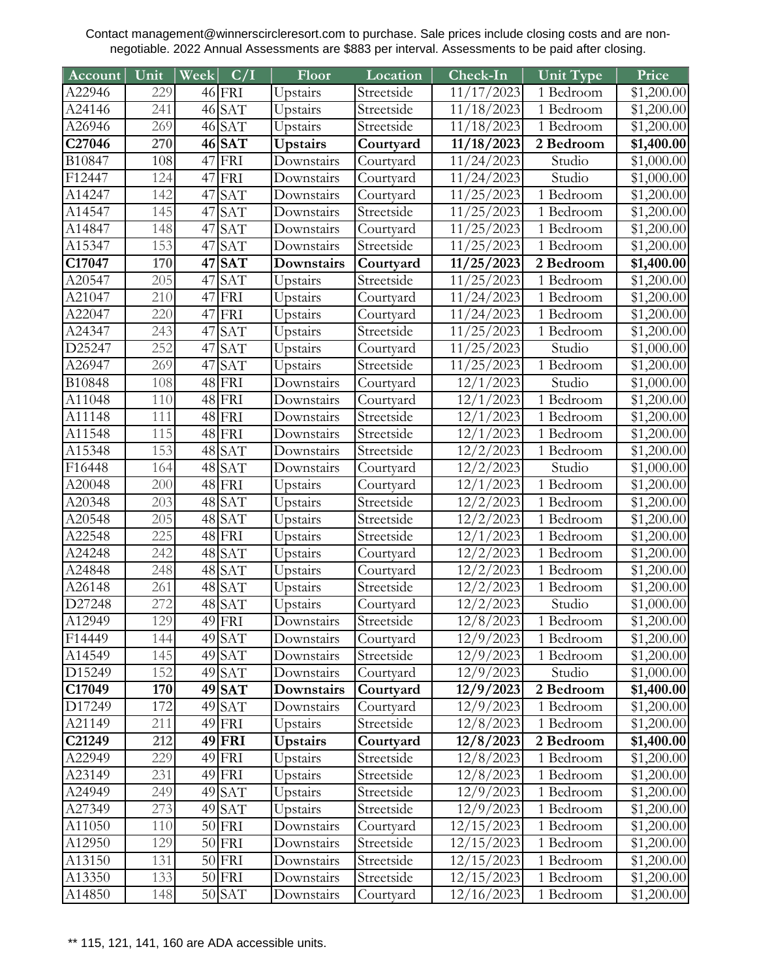| Account                    | Unit             | Week | C/I                  | Floor           | Location                 | Check-In                          | Unit Type              | Price              |
|----------------------------|------------------|------|----------------------|-----------------|--------------------------|-----------------------------------|------------------------|--------------------|
| A22946                     | 229              |      | $46$ FRI             | Upstairs        | Streetside               | 11/17/2023                        | $\overline{1}$ Bedroom | \$1,200.00         |
| A24146                     | 241              |      | $46$ SAT             | Upstairs        | Streetside               | 11/18/2023                        | 1 Bedroom              | \$1,200.00         |
| A26946                     | 269              |      | $46$ SAT             | Upstairs        | Streetside               | 11/18/2023                        | 1 Bedroom              | \$1,200.00         |
| $\overline{\text{C}27046}$ | 270              |      | $46$ SAT             | Upstairs        | Courtyard                | 11/18/2023                        | 2 Bedroom              | \$1,400.00         |
| B10847                     | 108              | 47   | FRI                  | Downstairs      | Courtyard                | 11/24/2023                        | Studio                 | \$1,000.00         |
| F <sub>12447</sub>         | 124              |      | $47$ FRI             | Downstairs      | Courtyard                | 11/24/2023                        | Studio                 | \$1,000.00         |
| A14247                     | 142              | 47   | <b>SAT</b>           | Downstairs      | Courtyard                | 11/25/2023                        | 1 Bedroom              | \$1,200.00         |
| A14547                     | 145              | 47   | <b>SAT</b>           | Downstairs      | Streetside               | 11/25/2023                        | 1 Bedroom              | \$1,200.00         |
| A14847                     | 148              | 47   | <b>SAT</b>           | Downstairs      | Courtyard                | 11/25/2023                        | 1 Bedroom              | \$1,200.00         |
| A15347                     | 153              | 47   | <b>SAT</b>           | Downstairs      | Streetside               | 11/25/2023                        | 1 Bedroom              | \$1,200.00         |
| C17047                     | 170              |      | $47$ SAT             | Downstairs      | Courtyard                | 11/25/2023                        | 2 Bedroom              | \$1,400.00         |
| A20547                     | 205              | 47   | <b>SAT</b>           | Upstairs        | Streetside               | 11/25/2023                        | 1 Bedroom              | \$1,200.00         |
| A21047                     | 210              | 47   | FRI                  | Upstairs        | Courtyard                | 11/24/2023                        | 1 Bedroom              | \$1,200.00         |
| A22047                     | 220              |      | $47$ FRI             | Upstairs        | Courtyard                | 11/24/2023                        | 1 Bedroom              | \$1,200.00         |
| A24347                     | 243              | 47   | <b>SAT</b>           | Upstairs        | Streetside               | 11/25/2023                        | 1 Bedroom              | \$1,200.00         |
| D25247                     | 252              | 47   | <b>SAT</b>           | Upstairs        | Courtyard                | 11/25/2023                        | Studio                 | \$1,000.00         |
| A26947                     | 269              | 47   | <b>SAT</b>           | Upstairs        | Streetside               | 11/25/2023                        | 1 Bedroom              | \$1,200.00         |
| B10848                     | 108              |      | $48$ FRI             | Downstairs      | Courtyard                | 12/1/2023                         | Studio                 | \$1,000.00         |
| A11048                     | 110              |      | $48$ FRI             | Downstairs      | Courtyard                | 12/1/2023                         | 1 Bedroom              | \$1,200.00         |
| A11148                     | 111              |      | $48$ FRI             | Downstairs      | Streetside               | 12/1/2023                         | 1 Bedroom              | \$1,200.00         |
| A11548                     | 115              |      | 48 FRI               | Downstairs      | Streetside               | 12/1/2023                         | 1 Bedroom              | \$1,200.00         |
| A15348                     | 153              |      | $48$ SAT             | Downstairs      | Streetside               | 12/2/2023                         | 1 Bedroom              | \$1,200.00         |
| F16448                     | 164              |      | $48$ SAT             | Downstairs      | Courtyard                | 12/2/2023                         | Studio                 | \$1,000.00         |
| A20048                     | 200              |      | $48$ FRI             | Upstairs        | Courtyard                | 12/1/2023                         | 1 Bedroom              | \$1,200.00         |
| A20348                     | 203              |      | $48$ SAT             | Upstairs        | Streetside               | 12/2/2023                         | 1 Bedroom              | \$1,200.00         |
| A20548                     | $\overline{2}05$ |      | $48$ SAT             | Upstairs        | Streetside               | 12/2/2023                         | 1 Bedroom              | \$1,200.00         |
| A22548                     | 225              |      | $48$ FRI             | Upstairs        | Streetside               | 12/1/2023                         | 1 Bedroom              | \$1,200.00         |
| A24248                     | 242              |      | $48$ SAT             | Upstairs        | Courtyard                | 12/2/2023                         | 1 Bedroom              | \$1,200.00         |
| A24848                     | 248              |      | $48$ SAT             | Upstairs        | Courtyard                | 12/2/2023                         | 1 Bedroom              | \$1,200.00         |
| A26148                     | 261              |      | $48$ SAT             | Upstairs        | Streetside               | 12/2/2023                         | 1 Bedroom              | \$1,200.00         |
| D27248                     | 272              |      | $\overline{48}$ SAT  | Upstairs        | Courtyard                | 12/2/2023                         | Studio                 | \$1,000.00         |
| A12949                     | 129              |      | 49 FRI               | Downstairs      | Streetside               | 12/8/2023                         | 1 Bedroom              | $\sqrt{$1,200.00}$ |
| F14449                     | 144              |      | 49 SAT               | Downstairs      | Courtyard                | 12/9/2023                         | 1 Bedroom              | \$1,200.00         |
| A14549                     | 145              |      | $49$ SAT             | Downstairs      | Streetside               | 12/9/2023                         | 1 Bedroom              | \$1,200.00         |
| D15249                     | 152              |      | $49$ SAT             | Downstairs      | Courtyard                | 12/9/2023                         | Studio                 | \$1,000.00         |
| C17049                     | 170              |      | $49$ SAT             | Downstairs      | Courtyard                | 12/9/2023                         | 2 Bedroom              | \$1,400.00         |
| D17249                     | 172              |      | $49$ SAT             | Downstairs      | Courtyard                | $\overline{12}/9/2023$            | 1 Bedroom              | \$1,200.00         |
| A21149                     | 211              |      | $49$ FRI             | Upstairs        | Streetside               | 12/8/2023                         | 1 Bedroom              | \$1,200.00         |
| C21249                     | 212              |      | $49$ FRI             | <b>Upstairs</b> | Courtyard                | 12/8/2023                         | 2 Bedroom              | \$1,400.00         |
| A22949                     | 229              |      | 49 FRI               | Upstairs        | Streetside               | 12/8/2023                         | 1 Bedroom              | \$1,200.00         |
| A23149                     | 231              |      | 49 FRI               | Upstairs        | Streetside               | 12/8/2023                         | 1 Bedroom              | \$1,200.00         |
| A24949                     | 249              |      | 49 SAT               | Upstairs        | Streetside               | 12/9/2023                         | 1 Bedroom              | \$1,200.00         |
| A27349                     | 273              |      | $49$ SAT             | Upstairs        | Streetside               | 12/9/2023                         | 1 Bedroom              | \$1,200.00         |
| A11050                     | 110              |      | $50$ FRI             | Downstairs      | Courtyard                | 12/15/2023<br>$\sqrt{12}/15/2023$ | 1 Bedroom              | \$1,200.00         |
| A12950                     | 129              |      | $50$ FRI             | Downstairs      | Streetside               | 12/15/2023                        | 1 Bedroom              | \$1,200.00         |
| A13150<br>A13350           | 131<br>133       |      | $50$ FRI<br>$50$ FRI | Downstairs      | Streetside<br>Streetside | $\sqrt{12}/15/2023$               | 1 Bedroom              | \$1,200.00         |
| A14850                     |                  |      | $50$ $SAT$           | Downstairs      |                          | 12/16/2023                        | 1 Bedroom<br>1 Bedroom | \$1,200.00         |
|                            | 148              |      |                      | Downstairs      | Courtyard                |                                   |                        | \$1,200.00         |